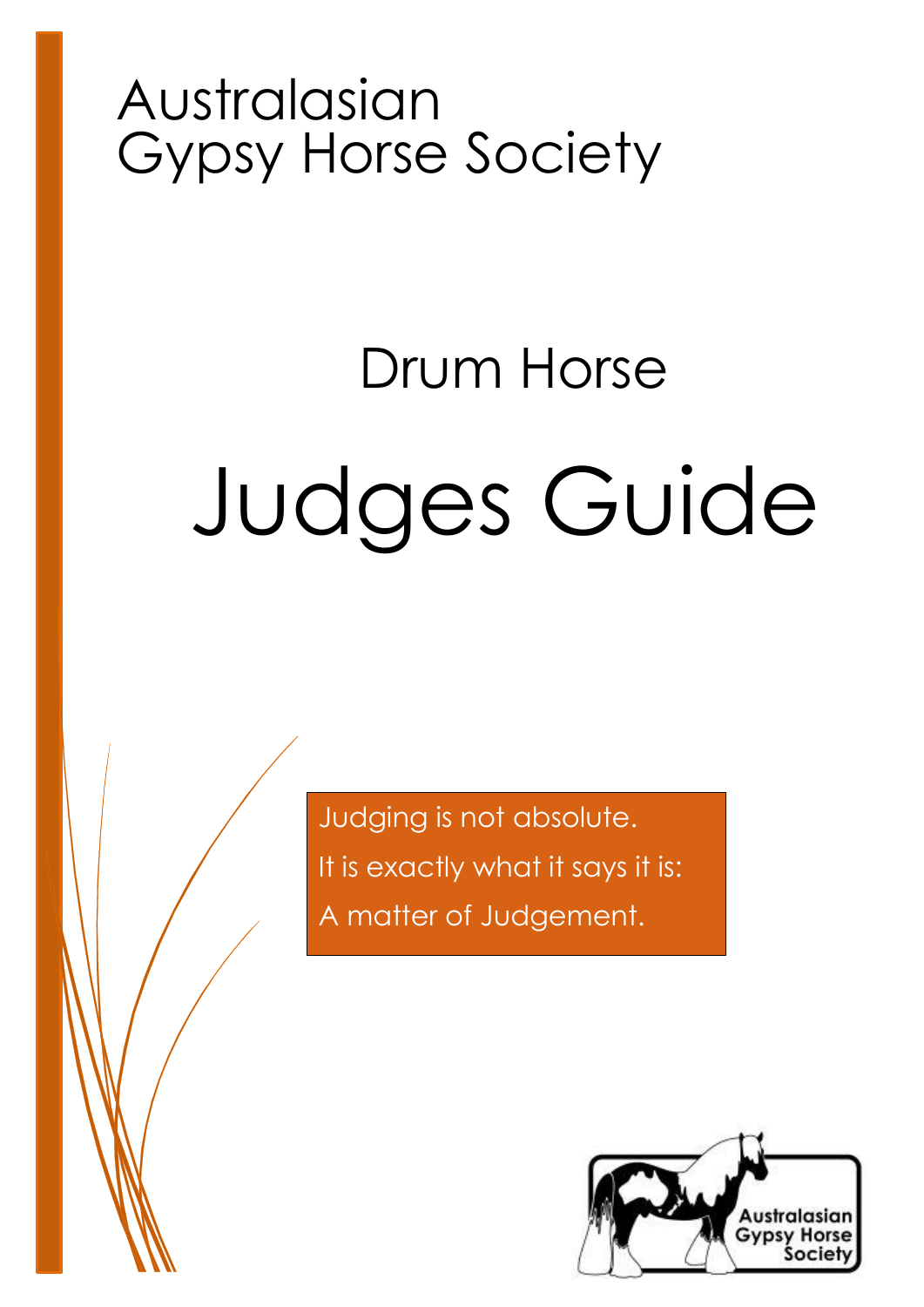## Australasian Gypsy Horse Society

# Judges Guide Drum Horse

Judging is not absolute. It is exactly what it says it is: A matter of Judgement.

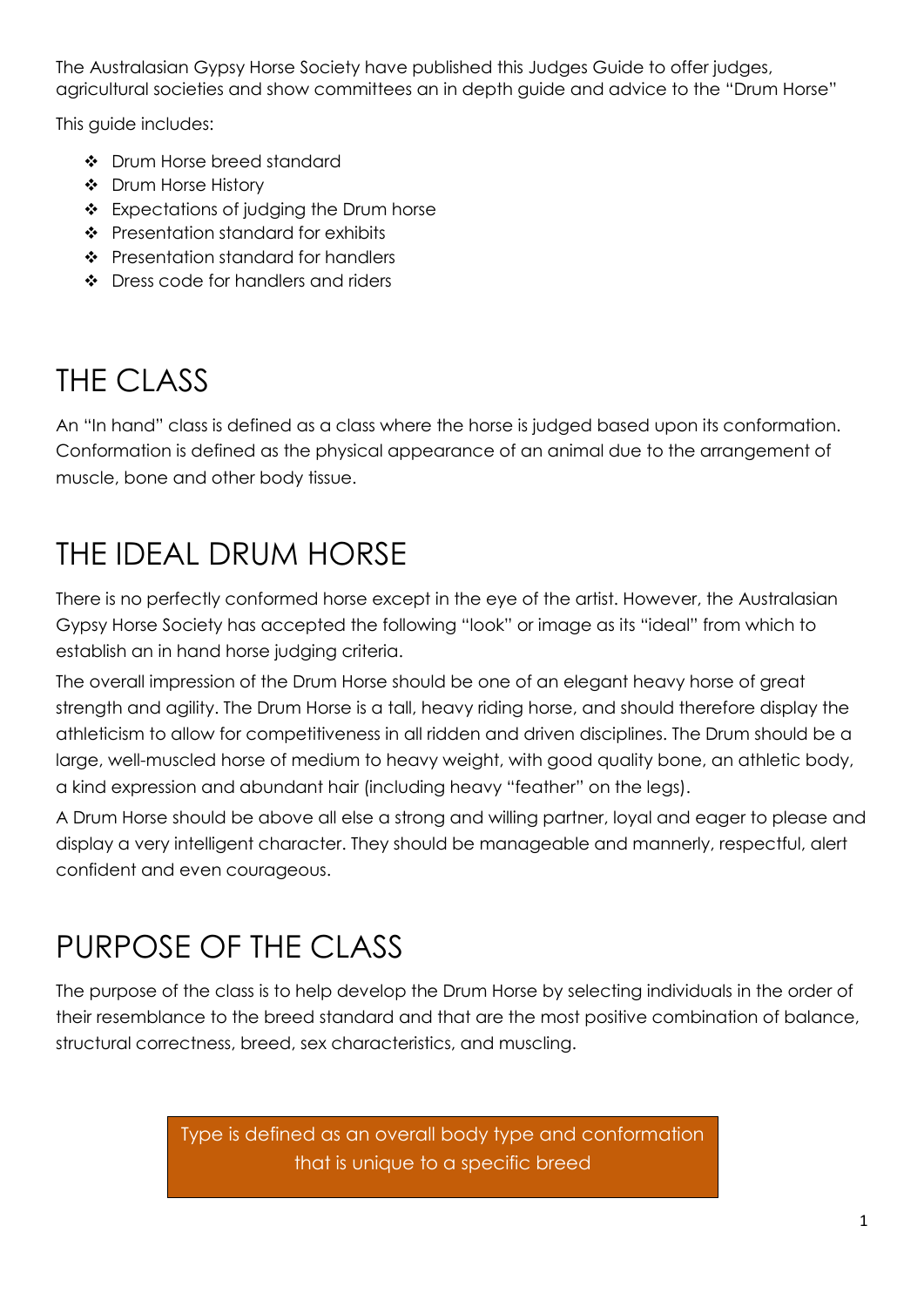The Australasian Gypsy Horse Society have published this Judges Guide to offer judges, agricultural societies and show committees an in depth guide and advice to the "Drum Horse"

This guide includes:

- Drum Horse breed standard
- ❖ Drum Horse History
- Expectations of judging the Drum horse
- Presentation standard for exhibits
- ❖ Presentation standard for handlers
- ❖ Dress code for handlers and riders

### THE CLASS

An "In hand" class is defined as a class where the horse is judged based upon its conformation. Conformation is defined as the physical appearance of an animal due to the arrangement of muscle, bone and other body tissue.

## THE IDEAL DRUM HORSE

There is no perfectly conformed horse except in the eye of the artist. However, the Australasian Gypsy Horse Society has accepted the following "look" or image as its "ideal" from which to establish an in hand horse judging criteria.

The overall impression of the Drum Horse should be one of an elegant heavy horse of great strength and agility. The Drum Horse is a tall, heavy riding horse, and should therefore display the athleticism to allow for competitiveness in all ridden and driven disciplines. The Drum should be a large, well-muscled horse of medium to heavy weight, with good quality bone, an athletic body, a kind expression and abundant hair (including heavy "feather" on the legs).

A Drum Horse should be above all else a strong and willing partner, loyal and eager to please and display a very intelligent character. They should be manageable and mannerly, respectful, alert confident and even courageous.

## PURPOSE OF THE CLASS

The purpose of the class is to help develop the Drum Horse by selecting individuals in the order of their resemblance to the breed standard and that are the most positive combination of balance, structural correctness, breed, sex characteristics, and muscling.

> Type is defined as an overall body type and conformation that is unique to a specific breed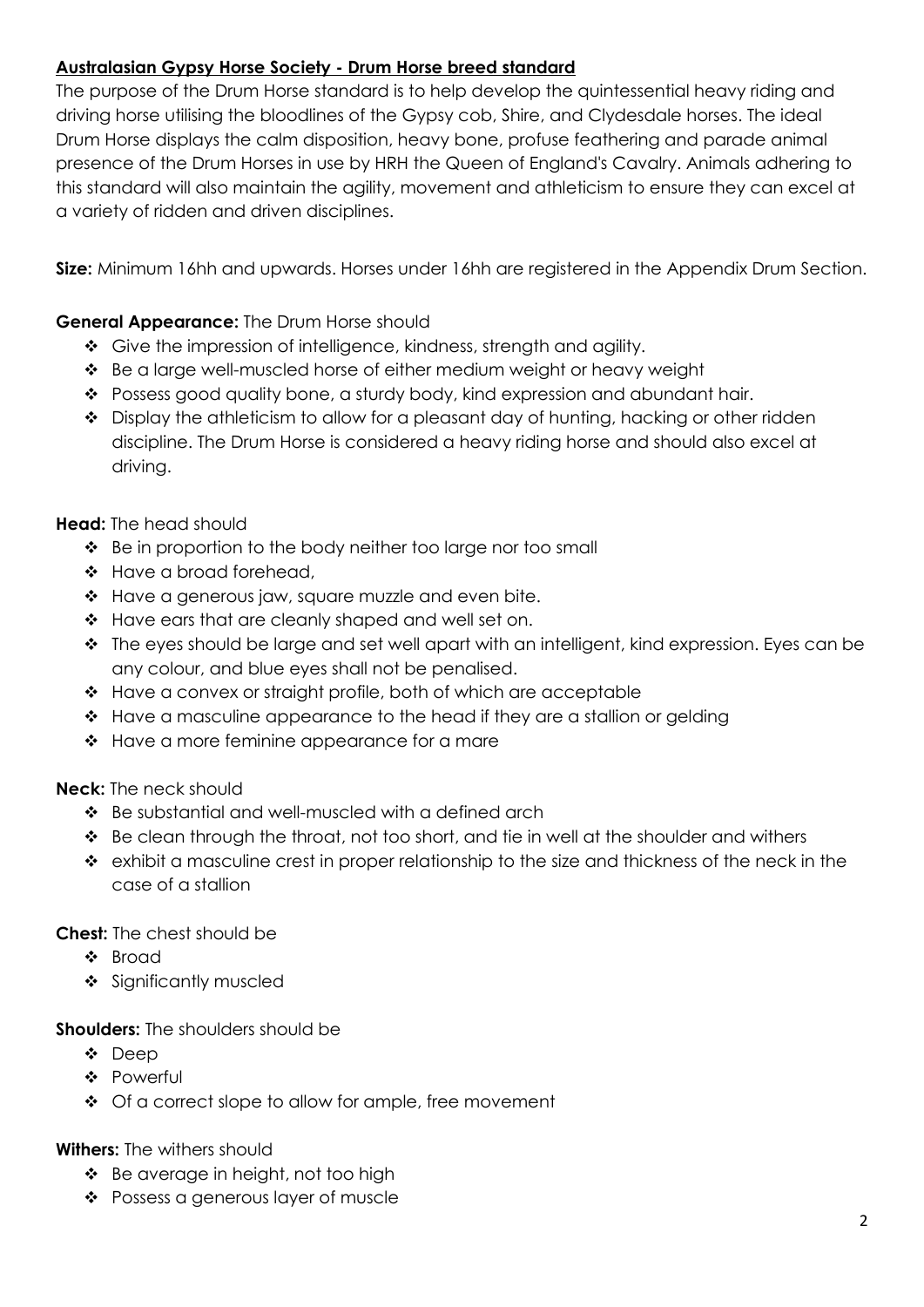#### **Australasian Gypsy Horse Society - Drum Horse breed standard**

The purpose of the Drum Horse standard is to help develop the quintessential heavy riding and driving horse utilising the bloodlines of the Gypsy cob, Shire, and Clydesdale horses. The ideal Drum Horse displays the calm disposition, heavy bone, profuse feathering and parade animal presence of the Drum Horses in use by HRH the Queen of England's Cavalry. Animals adhering to this standard will also maintain the agility, movement and athleticism to ensure they can excel at a variety of ridden and driven disciplines.

**Size:** Minimum 16hh and upwards. Horses under 16hh are registered in the Appendix Drum Section.

#### **General Appearance:** The Drum Horse should

- Give the impression of intelligence, kindness, strength and agility.
- Be a large well-muscled horse of either medium weight or heavy weight
- \* Possess good quality bone, a sturdy body, kind expression and abundant hair.
- $\bullet$  Display the athleticism to allow for a pleasant day of hunting, hacking or other ridden discipline. The Drum Horse is considered a heavy riding horse and should also excel at driving.

#### **Head:** The head should

- $\div$  Be in proportion to the body neither too large nor too small
- Have a broad forehead,
- $\triangleleft$  Have a generous jaw, square muzzle and even bite.
- $\div$  Have ears that are cleanly shaped and well set on.
- $\cdot \cdot$  The eyes should be large and set well apart with an intelligent, kind expression. Eyes can be any colour, and blue eyes shall not be penalised.
- \* Have a convex or straight profile, both of which are acceptable
- ◆ Have a masculine appearance to the head if they are a stallion or gelding
- $\div$  Have a more feminine appearance for a mare

#### **Neck:** The neck should

- Be substantial and well-muscled with a defined arch
- \* Be clean through the throat, not too short, and tie in well at the shoulder and withers
- $\div$  exhibit a masculine crest in proper relationship to the size and thickness of the neck in the case of a stallion

#### **Chest:** The chest should be

- ❖ Broad
- Significantly muscled

#### **Shoulders:** The shoulders should be

- ❖ Deep
- Powerful
- ◆ Of a correct slope to allow for ample, free movement

#### **Withers:** The withers should

- $\div$  Be average in height, not too high
- ❖ Possess a generous layer of muscle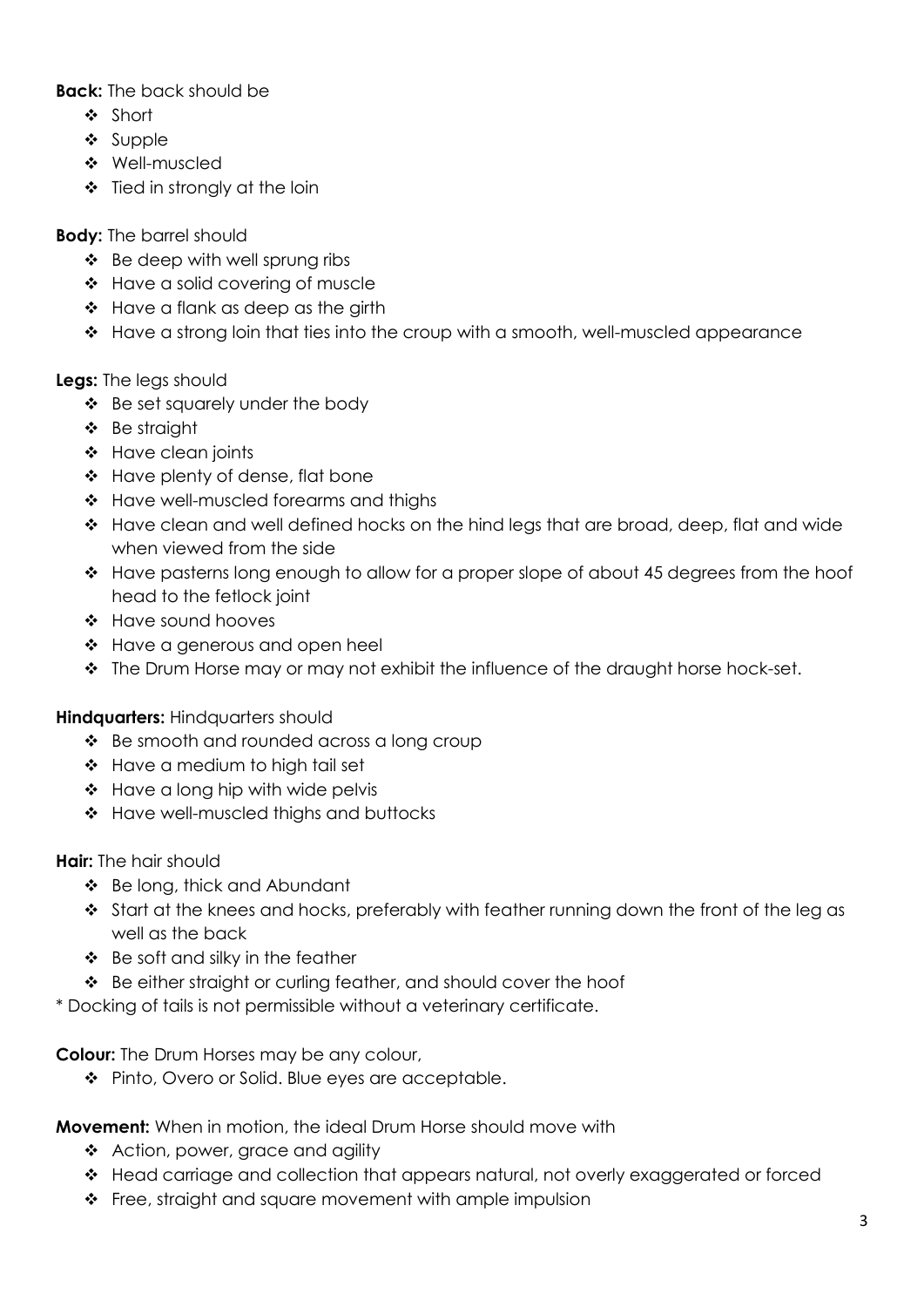**Back:** The back should be

- Short
- $\div$  Supple
- Well-muscled
- $\div$  Tied in strongly at the loin

#### **Body:** The barrel should

- $\div$  Be deep with well sprung ribs
- Have a solid covering of muscle
- ❖ Have a flank as deep as the girth
- $\div$  Have a strong loin that ties into the croup with a smooth, well-muscled appearance

#### **Legs:** The legs should

- Be set squarely under the body
- Be straight
- ❖ Have clean joints
- Have plenty of dense, flat bone
- \* Have well-muscled forearms and thighs
- \* Have clean and well defined hocks on the hind legs that are broad, deep, flat and wide when viewed from the side
- \* Have pasterns long enough to allow for a proper slope of about 45 degrees from the hoof head to the fetlock joint
- ❖ Have sound hooves
- ❖ Have a generous and open heel
- The Drum Horse may or may not exhibit the influence of the draught horse hock-set.

#### **Hindquarters:** Hindquarters should

- Be smooth and rounded across a long croup
- Have a medium to high tail set
- $\div$  Have a long hip with wide pelvis
- ❖ Have well-muscled thighs and buttocks

#### **Hair:** The hair should

- Be long, thick and Abundant
- Start at the knees and hocks, preferably with feather running down the front of the leg as well as the back
- $\div$  Be soft and silky in the feather
- ◆ Be either straight or curling feather, and should cover the hoof

\* Docking of tails is not permissible without a veterinary certificate.

#### **Colour:** The Drum Horses may be any colour,

◆ Pinto, Overo or Solid. Blue eyes are acceptable.

**Movement:** When in motion, the ideal Drum Horse should move with

- Action, power, grace and agility
- Head carriage and collection that appears natural, not overly exaggerated or forced
- ❖ Free, straight and square movement with ample impulsion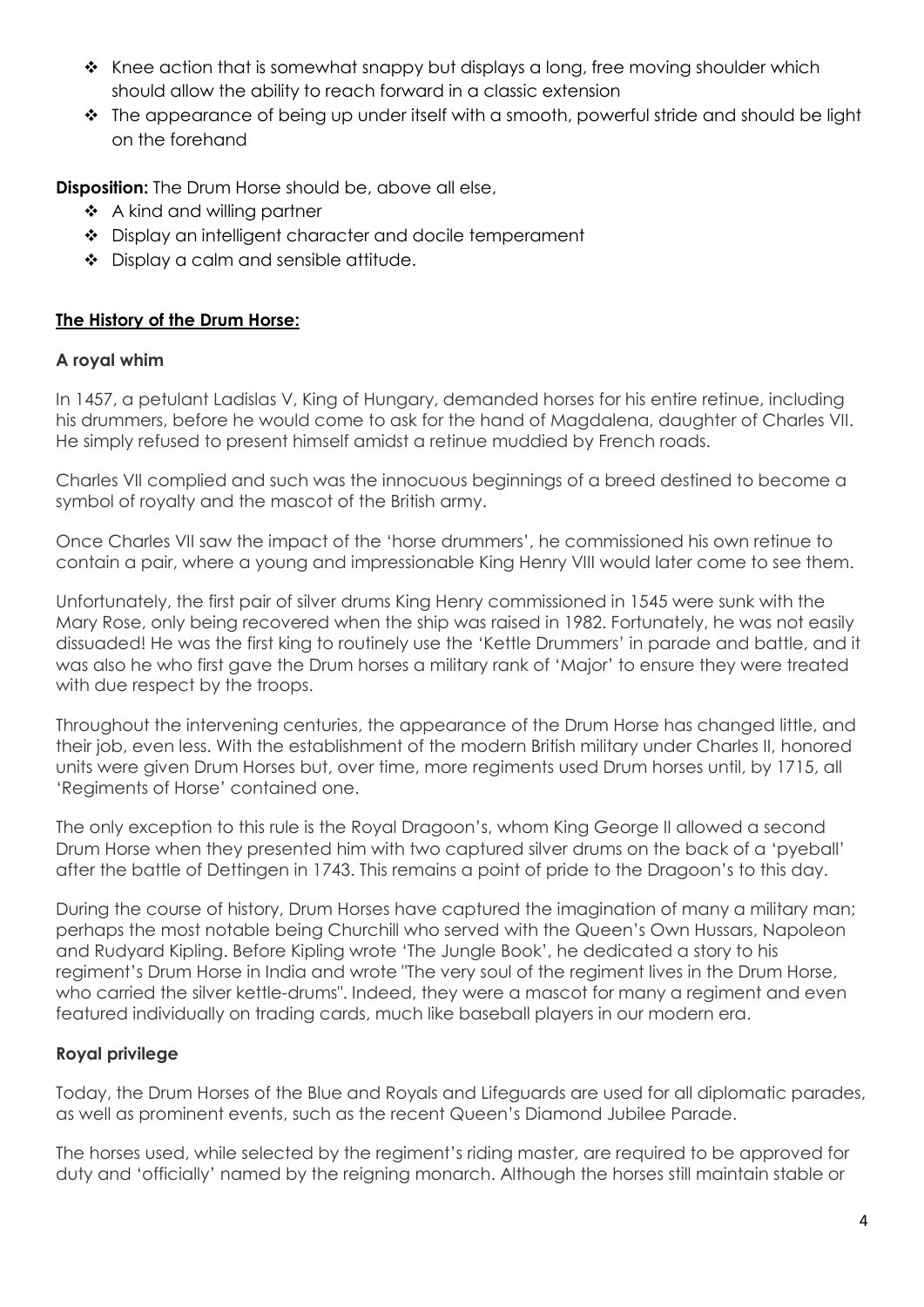- $\cdot$  Knee action that is somewhat snappy but displays a long, free moving shoulder which should allow the ability to reach forward in a classic extension
- The appearance of being up under itself with a smooth, powerful stride and should be light on the forehand

**Disposition:** The Drum Horse should be, above all else,

- ❖ A kind and willing partner
- ❖ Display an intelligent character and docile temperament
- ◆ Display a calm and sensible attitude.

#### **The History of the Drum Horse:**

#### **A royal whim**

In 1457, a petulant Ladislas V, King of Hungary, demanded horses for his entire retinue, including his drummers, before he would come to ask for the hand of Magdalena, daughter of Charles VII. He simply refused to present himself amidst a retinue muddied by French roads.

Charles VII complied and such was the innocuous beginnings of a breed destined to become a symbol of royalty and the mascot of the British army.

Once Charles VII saw the impact of the 'horse drummers', he commissioned his own retinue to contain a pair, where a young and impressionable King Henry VIII would later come to see them.

Unfortunately, the first pair of silver drums King Henry commissioned in 1545 were sunk with the Mary Rose, only being recovered when the ship was raised in 1982. Fortunately, he was not easily dissuaded! He was the first king to routinely use the 'Kettle Drummers' in parade and battle, and it was also he who first gave the Drum horses a military rank of 'Major' to ensure they were treated with due respect by the troops.

Throughout the intervening centuries, the appearance of the Drum Horse has changed little, and their job, even less. With the establishment of the modern British military under Charles II, honored units were given Drum Horses but, over time, more regiments used Drum horses until, by 1715, all 'Regiments of Horse' contained one.

The only exception to this rule is the Royal Dragoon's, whom King George II allowed a second Drum Horse when they presented him with two captured silver drums on the back of a 'pyeball' after the battle of Dettingen in 1743. This remains a point of pride to the Dragoon's to this day.

During the course of history, Drum Horses have captured the imagination of many a military man; perhaps the most notable being Churchill who served with the Queen's Own Hussars, Napoleon and Rudyard Kipling. Before Kipling wrote 'The Jungle Book', he dedicated a story to his regiment's Drum Horse in India and wrote "The very soul of the regiment lives in the Drum Horse, who carried the silver kettle-drums". Indeed, they were a mascot for many a regiment and even featured individually on trading cards, much like baseball players in our modern era.

#### **Royal privilege**

Today, the Drum Horses of the Blue and Royals and Lifeguards are used for all diplomatic parades, as well as prominent events, such as the recent Queen's Diamond Jubilee Parade.

The horses used, while selected by the regiment's riding master, are required to be approved for duty and 'officially' named by the reigning monarch. Although the horses still maintain stable or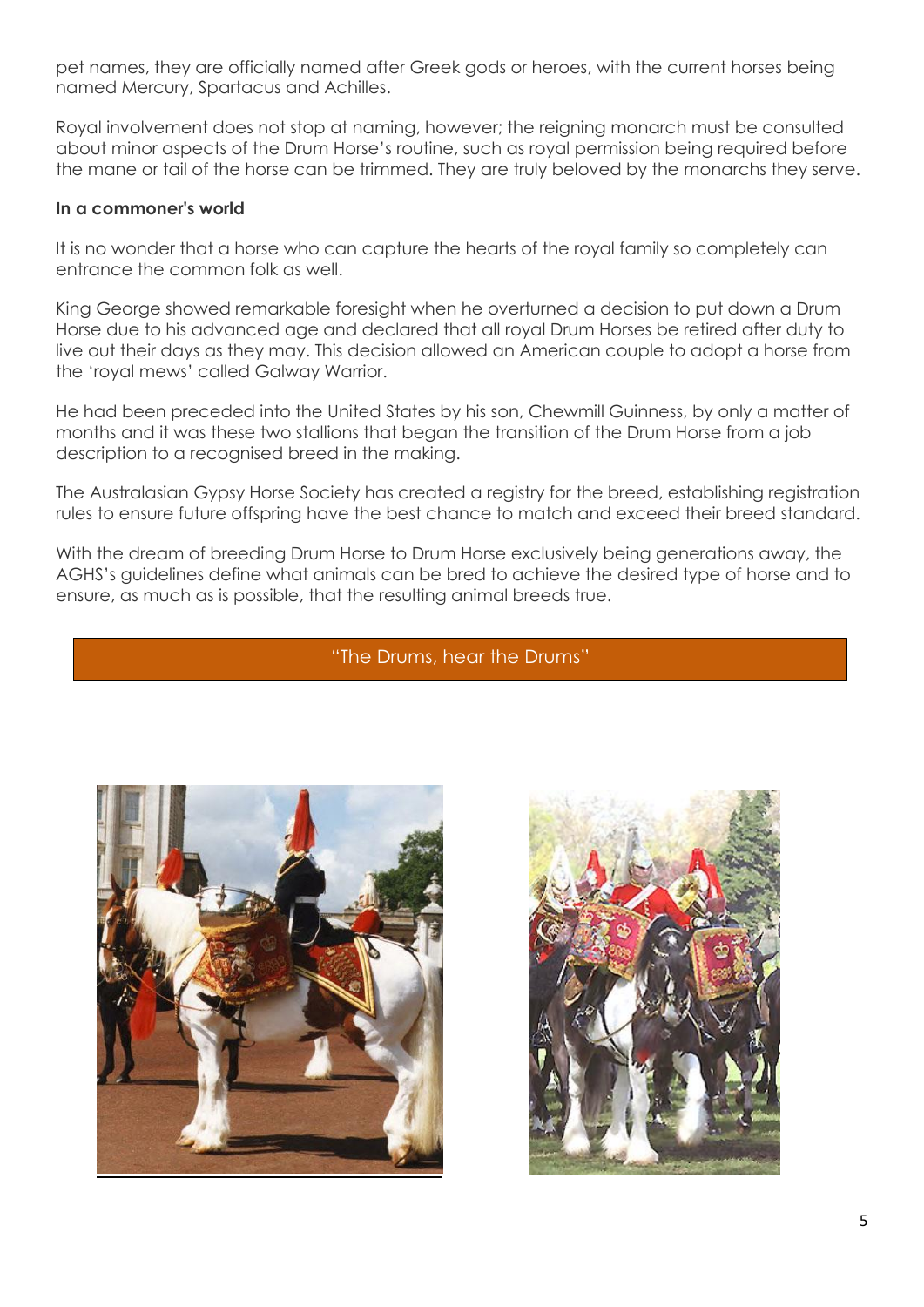pet names, they are officially named after Greek gods or heroes, with the current horses being named Mercury, Spartacus and Achilles.

Royal involvement does not stop at naming, however; the reigning monarch must be consulted about minor aspects of the Drum Horse's routine, such as royal permission being required before the mane or tail of the horse can be trimmed. They are truly beloved by the monarchs they serve.

#### **In a commoner's world**

It is no wonder that a horse who can capture the hearts of the royal family so completely can entrance the common folk as well.

King George showed remarkable foresight when he overturned a decision to put down a Drum Horse due to his advanced age and declared that all royal Drum Horses be retired after duty to live out their days as they may. This decision allowed an American couple to adopt a horse from the 'royal mews' called Galway Warrior.

He had been preceded into the United States by his son, Chewmill Guinness, by only a matter of months and it was these two stallions that began the transition of the Drum Horse from a job description to a recognised breed in the making.

The Australasian Gypsy Horse Society has created a registry for the breed, establishing registration rules to ensure future offspring have the best chance to match and exceed their breed standard.

With the dream of breeding Drum Horse to Drum Horse exclusively being generations away, the AGHS's guidelines define what animals can be bred to achieve the desired type of horse and to ensure, as much as is possible, that the resulting animal breeds true.

#### "The Drums, hear the Drums"



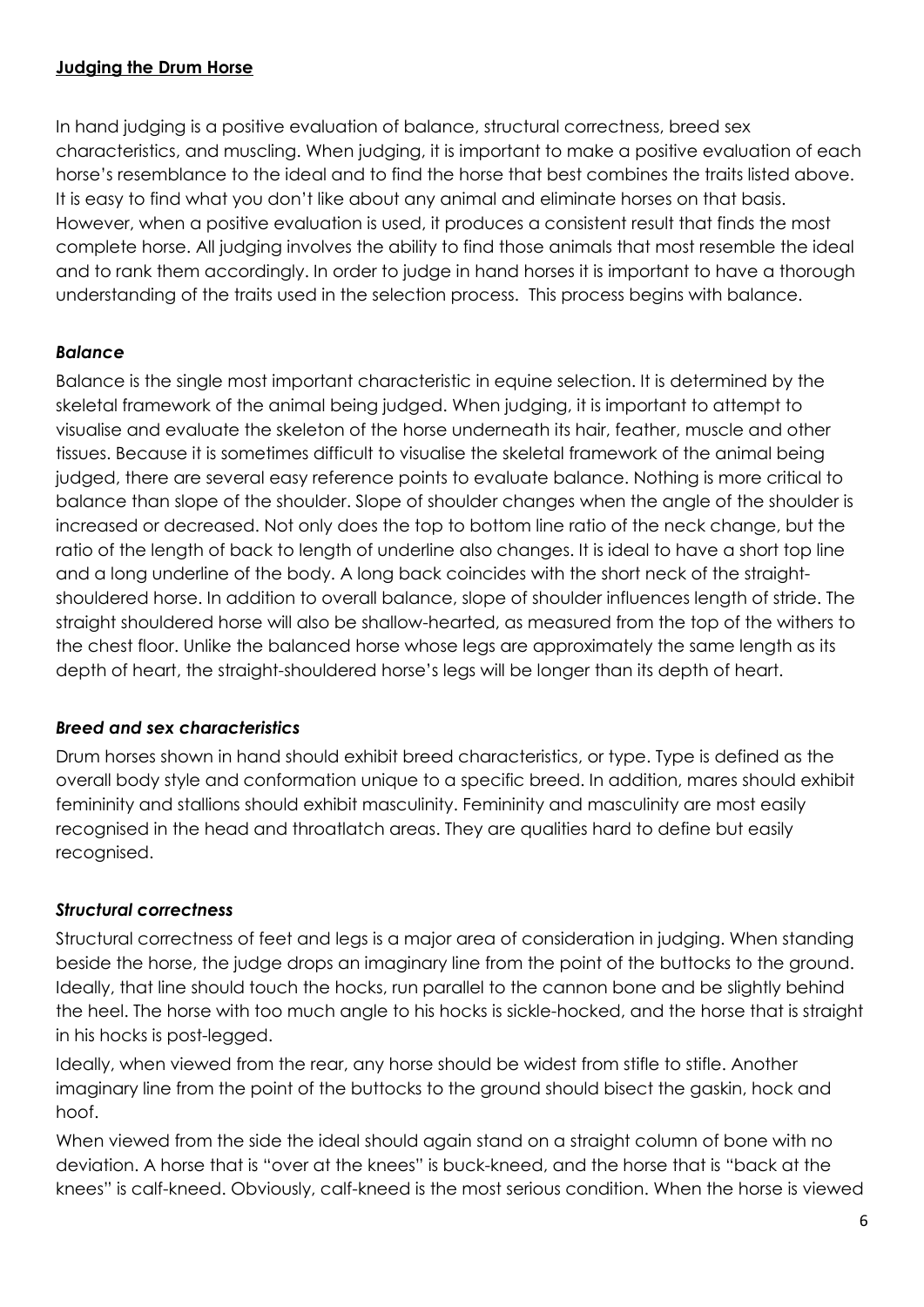#### **Judging the Drum Horse**

In hand judging is a positive evaluation of balance, structural correctness, breed sex characteristics, and muscling. When judging, it is important to make a positive evaluation of each horse's resemblance to the ideal and to find the horse that best combines the traits listed above. It is easy to find what you don't like about any animal and eliminate horses on that basis. However, when a positive evaluation is used, it produces a consistent result that finds the most complete horse. All judging involves the ability to find those animals that most resemble the ideal and to rank them accordingly. In order to judge in hand horses it is important to have a thorough understanding of the traits used in the selection process. This process begins with balance.

#### *Balance*

Balance is the single most important characteristic in equine selection. It is determined by the skeletal framework of the animal being judged. When judging, it is important to attempt to visualise and evaluate the skeleton of the horse underneath its hair, feather, muscle and other tissues. Because it is sometimes difficult to visualise the skeletal framework of the animal being judged, there are several easy reference points to evaluate balance. Nothing is more critical to balance than slope of the shoulder. Slope of shoulder changes when the angle of the shoulder is increased or decreased. Not only does the top to bottom line ratio of the neck change, but the ratio of the length of back to length of underline also changes. It is ideal to have a short top line and a long underline of the body. A long back coincides with the short neck of the straightshouldered horse. In addition to overall balance, slope of shoulder influences length of stride. The straight shouldered horse will also be shallow-hearted, as measured from the top of the withers to the chest floor. Unlike the balanced horse whose legs are approximately the same length as its depth of heart, the straight-shouldered horse's legs will be longer than its depth of heart.

#### *Breed and sex characteristics*

Drum horses shown in hand should exhibit breed characteristics, or type. Type is defined as the overall body style and conformation unique to a specific breed. In addition, mares should exhibit femininity and stallions should exhibit masculinity. Femininity and masculinity are most easily recognised in the head and throatlatch areas. They are qualities hard to define but easily recognised.

#### *Structural correctness*

Structural correctness of feet and legs is a major area of consideration in judging. When standing beside the horse, the judge drops an imaginary line from the point of the buttocks to the ground. Ideally, that line should touch the hocks, run parallel to the cannon bone and be slightly behind the heel. The horse with too much angle to his hocks is sickle-hocked, and the horse that is straight in his hocks is post-legged.

Ideally, when viewed from the rear, any horse should be widest from stifle to stifle. Another imaginary line from the point of the buttocks to the ground should bisect the gaskin, hock and hoof.

When viewed from the side the ideal should again stand on a straight column of bone with no deviation. A horse that is "over at the knees" is buck-kneed, and the horse that is "back at the knees" is calf-kneed. Obviously, calf-kneed is the most serious condition. When the horse is viewed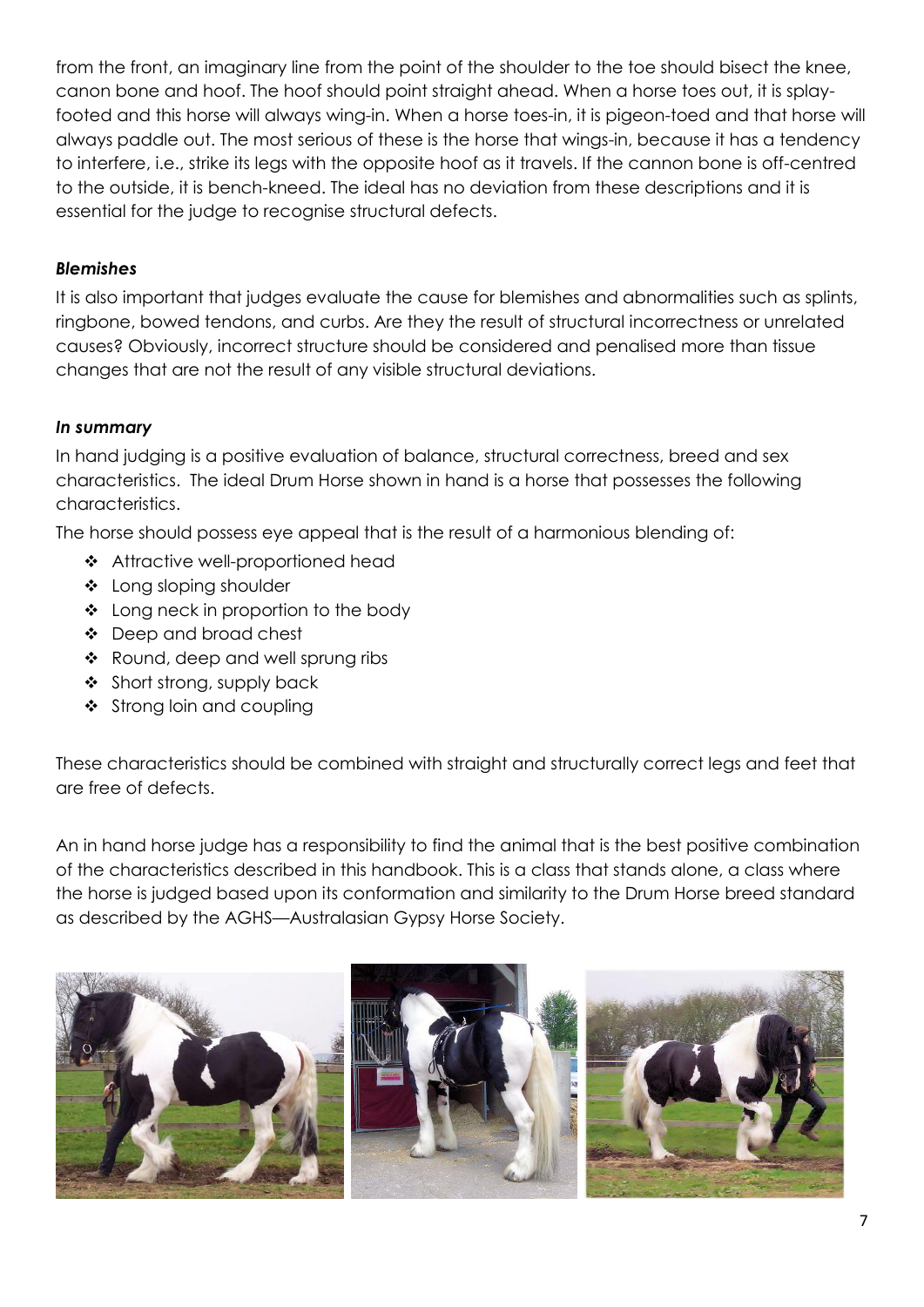from the front, an imaginary line from the point of the shoulder to the toe should bisect the knee, canon bone and hoof. The hoof should point straight ahead. When a horse toes out, it is splayfooted and this horse will always wing-in. When a horse toes-in, it is pigeon-toed and that horse will always paddle out. The most serious of these is the horse that wings-in, because it has a tendency to interfere, i.e., strike its legs with the opposite hoof as it travels. If the cannon bone is off-centred to the outside, it is bench-kneed. The ideal has no deviation from these descriptions and it is essential for the judge to recognise structural defects.

#### *Blemishes*

It is also important that judges evaluate the cause for blemishes and abnormalities such as splints, ringbone, bowed tendons, and curbs. Are they the result of structural incorrectness or unrelated causes? Obviously, incorrect structure should be considered and penalised more than tissue changes that are not the result of any visible structural deviations.

#### *In summary*

In hand judging is a positive evaluation of balance, structural correctness, breed and sex characteristics. The ideal Drum Horse shown in hand is a horse that possesses the following characteristics.

The horse should possess eye appeal that is the result of a harmonious blending of:

- ❖ Attractive well-proportioned head
- ❖ Long sloping shoulder
- ❖ Long neck in proportion to the body
- Deep and broad chest
- \* Round, deep and well sprung ribs
- ❖ Short strong, supply back
- $\div$  Strong loin and coupling

These characteristics should be combined with straight and structurally correct legs and feet that are free of defects.

An in hand horse judge has a responsibility to find the animal that is the best positive combination of the characteristics described in this handbook. This is a class that stands alone, a class where the horse is judged based upon its conformation and similarity to the Drum Horse breed standard as described by the AGHS—Australasian Gypsy Horse Society.